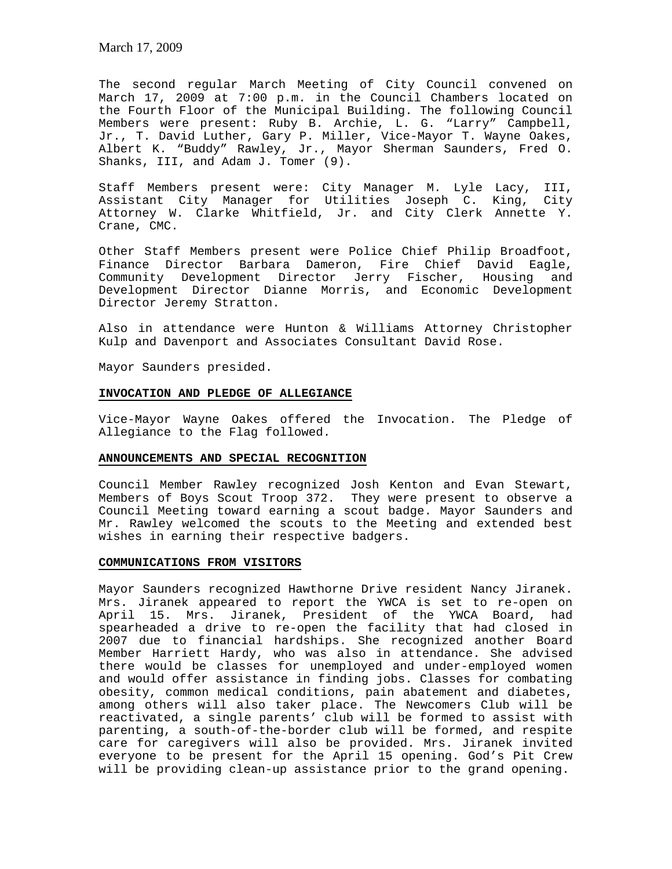The second regular March Meeting of City Council convened on March 17, 2009 at 7:00 p.m. in the Council Chambers located on the Fourth Floor of the Municipal Building. The following Council Members were present: Ruby B. Archie, L. G. "Larry" Campbell, Jr., T. David Luther, Gary P. Miller, Vice-Mayor T. Wayne Oakes, Albert K. "Buddy" Rawley, Jr., Mayor Sherman Saunders, Fred O. Shanks, III, and Adam J. Tomer (9).

Staff Members present were: City Manager M. Lyle Lacy, III, Assistant City Manager for Utilities Joseph C. King, City Attorney W. Clarke Whitfield, Jr. and City Clerk Annette Y. Crane, CMC.

Other Staff Members present were Police Chief Philip Broadfoot, Finance Director Barbara Dameron, Fire Chief David Eagle, Community Development Director Jerry Fischer, Housing and Development Director Dianne Morris, and Economic Development Director Jeremy Stratton.

Also in attendance were Hunton & Williams Attorney Christopher Kulp and Davenport and Associates Consultant David Rose.

Mayor Saunders presided.

### **INVOCATION AND PLEDGE OF ALLEGIANCE**

Vice-Mayor Wayne Oakes offered the Invocation. The Pledge of Allegiance to the Flag followed.

#### **ANNOUNCEMENTS AND SPECIAL RECOGNITION**

Council Member Rawley recognized Josh Kenton and Evan Stewart, Members of Boys Scout Troop 372. They were present to observe a Council Meeting toward earning a scout badge. Mayor Saunders and Mr. Rawley welcomed the scouts to the Meeting and extended best wishes in earning their respective badgers.

### **COMMUNICATIONS FROM VISITORS**

Mayor Saunders recognized Hawthorne Drive resident Nancy Jiranek. Mrs. Jiranek appeared to report the YWCA is set to re-open on April 15. Mrs. Jiranek, President of the YWCA Board, had spearheaded a drive to re-open the facility that had closed in 2007 due to financial hardships. She recognized another Board Member Harriett Hardy, who was also in attendance. She advised there would be classes for unemployed and under-employed women and would offer assistance in finding jobs. Classes for combating obesity, common medical conditions, pain abatement and diabetes, among others will also taker place. The Newcomers Club will be reactivated, a single parents' club will be formed to assist with parenting, a south-of-the-border club will be formed, and respite care for caregivers will also be provided. Mrs. Jiranek invited everyone to be present for the April 15 opening. God's Pit Crew will be providing clean-up assistance prior to the grand opening.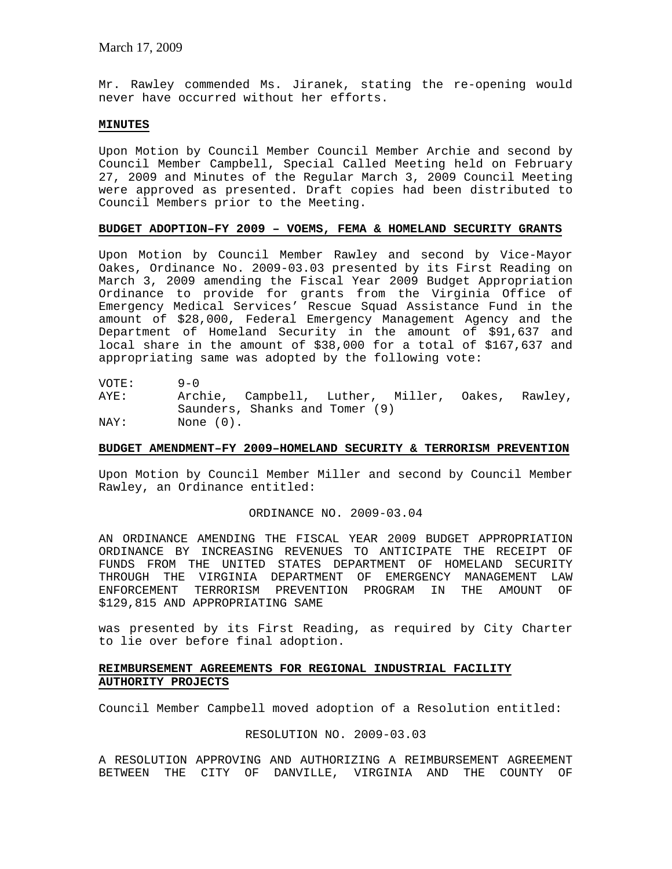Mr. Rawley commended Ms. Jiranek, stating the re-opening would never have occurred without her efforts.

### **MINUTES**

Upon Motion by Council Member Council Member Archie and second by Council Member Campbell, Special Called Meeting held on February 27, 2009 and Minutes of the Regular March 3, 2009 Council Meeting were approved as presented. Draft copies had been distributed to Council Members prior to the Meeting.

### **BUDGET ADOPTION–FY 2009 – VOEMS, FEMA & HOMELAND SECURITY GRANTS**

Upon Motion by Council Member Rawley and second by Vice-Mayor Oakes, Ordinance No. 2009-03.03 presented by its First Reading on March 3, 2009 amending the Fiscal Year 2009 Budget Appropriation Ordinance to provide for grants from the Virginia Office of Emergency Medical Services' Rescue Squad Assistance Fund in the amount of \$28,000, Federal Emergency Management Agency and the Department of Homeland Security in the amount of \$91,637 and local share in the amount of \$38,000 for a total of \$167,637 and appropriating same was adopted by the following vote:

VOTE: 9-0 AYE: Archie, Campbell, Luther, Miller, Oakes, Rawley, Saunders, Shanks and Tomer (9) NAY: None (0).

#### **BUDGET AMENDMENT–FY 2009–HOMELAND SECURITY & TERRORISM PREVENTION**

Upon Motion by Council Member Miller and second by Council Member Rawley, an Ordinance entitled:

ORDINANCE NO. 2009-03.04

AN ORDINANCE AMENDING THE FISCAL YEAR 2009 BUDGET APPROPRIATION ORDINANCE BY INCREASING REVENUES TO ANTICIPATE THE RECEIPT OF FUNDS FROM THE UNITED STATES DEPARTMENT OF HOMELAND SECURITY THROUGH THE VIRGINIA DEPARTMENT OF EMERGENCY MANAGEMENT LAW ENFORCEMENT TERRORISM PREVENTION PROGRAM IN THE AMOUNT OF \$129,815 AND APPROPRIATING SAME

was presented by its First Reading, as required by City Charter to lie over before final adoption.

# **REIMBURSEMENT AGREEMENTS FOR REGIONAL INDUSTRIAL FACILITY AUTHORITY PROJECTS**

Council Member Campbell moved adoption of a Resolution entitled:

#### RESOLUTION NO. 2009-03.03

A RESOLUTION APPROVING AND AUTHORIZING A REIMBURSEMENT AGREEMENT BETWEEN THE CITY OF DANVILLE, VIRGINIA AND THE COUNTY OF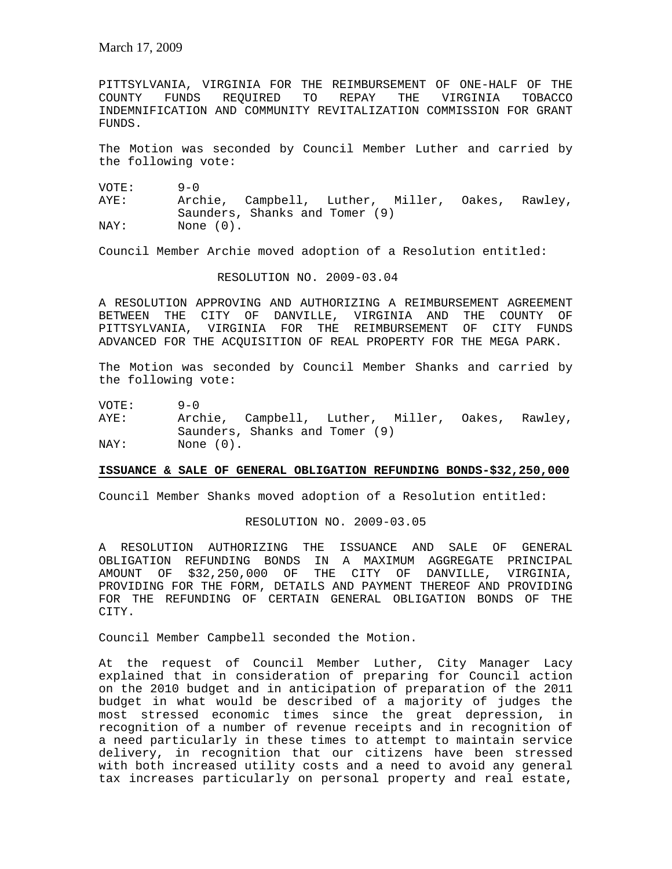PITTSYLVANIA, VIRGINIA FOR THE REIMBURSEMENT OF ONE-HALF OF THE COUNTY FUNDS REQUIRED TO REPAY THE VIRGINIA TOBACCO INDEMNIFICATION AND COMMUNITY REVITALIZATION COMMISSION FOR GRANT FUNDS.

The Motion was seconded by Council Member Luther and carried by the following vote:

VOTE: 9-0 AYE: Archie, Campbell, Luther, Miller, Oakes, Rawley, Saunders, Shanks and Tomer (9) NAY: None (0).

Council Member Archie moved adoption of a Resolution entitled:

## RESOLUTION NO. 2009-03.04

A RESOLUTION APPROVING AND AUTHORIZING A REIMBURSEMENT AGREEMENT BETWEEN THE CITY OF DANVILLE, VIRGINIA AND THE COUNTY OF PITTSYLVANIA, VIRGINIA FOR THE REIMBURSEMENT OF CITY FUNDS ADVANCED FOR THE ACQUISITION OF REAL PROPERTY FOR THE MEGA PARK.

The Motion was seconded by Council Member Shanks and carried by the following vote:

VOTE: 9-0

AYE: Archie, Campbell, Luther, Miller, Oakes, Rawley, Saunders, Shanks and Tomer (9) NAY: None  $(0)$ .

# **ISSUANCE & SALE OF GENERAL OBLIGATION REFUNDING BONDS-\$32,250,000**

Council Member Shanks moved adoption of a Resolution entitled:

#### RESOLUTION NO. 2009-03.05

A RESOLUTION AUTHORIZING THE ISSUANCE AND SALE OF GENERAL OBLIGATION REFUNDING BONDS IN A MAXIMUM AGGREGATE PRINCIPAL AMOUNT OF \$32,250,000 OF THE CITY OF DANVILLE, VIRGINIA, PROVIDING FOR THE FORM, DETAILS AND PAYMENT THEREOF AND PROVIDING FOR THE REFUNDING OF CERTAIN GENERAL OBLIGATION BONDS OF THE CITY.

Council Member Campbell seconded the Motion.

At the request of Council Member Luther, City Manager Lacy explained that in consideration of preparing for Council action on the 2010 budget and in anticipation of preparation of the 2011 budget in what would be described of a majority of judges the most stressed economic times since the great depression, in recognition of a number of revenue receipts and in recognition of a need particularly in these times to attempt to maintain service delivery, in recognition that our citizens have been stressed with both increased utility costs and a need to avoid any general tax increases particularly on personal property and real estate,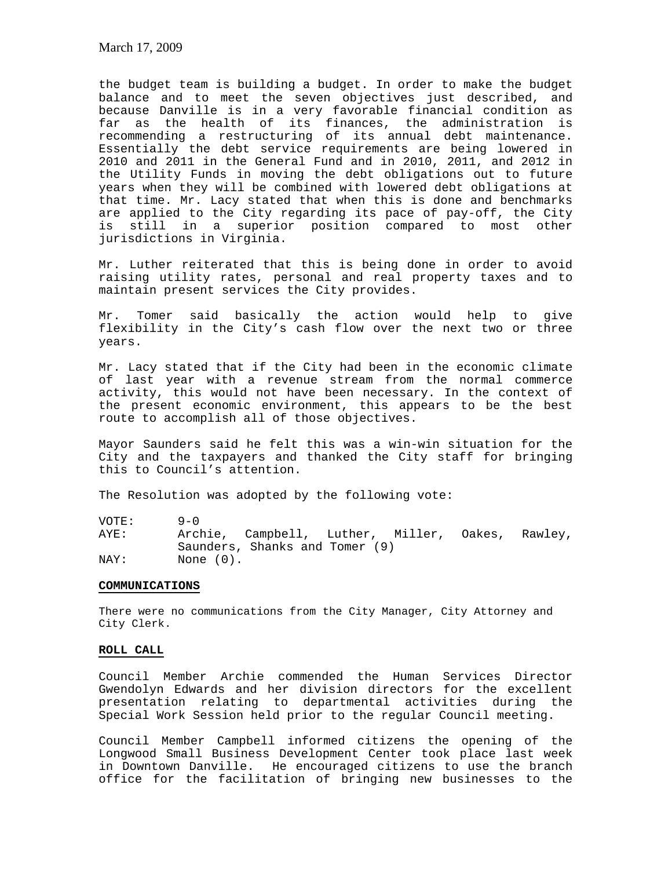March 17, 2009

the budget team is building a budget. In order to make the budget balance and to meet the seven objectives just described, and because Danville is in a very favorable financial condition as far as the health of its finances, the administration is recommending a restructuring of its annual debt maintenance. Essentially the debt service requirements are being lowered in 2010 and 2011 in the General Fund and in 2010, 2011, and 2012 in the Utility Funds in moving the debt obligations out to future years when they will be combined with lowered debt obligations at that time. Mr. Lacy stated that when this is done and benchmarks are applied to the City regarding its pace of pay-off, the City is still in a superior position compared to most other jurisdictions in Virginia.

Mr. Luther reiterated that this is being done in order to avoid raising utility rates, personal and real property taxes and to maintain present services the City provides.

Mr. Tomer said basically the action would help to give flexibility in the City's cash flow over the next two or three years.

Mr. Lacy stated that if the City had been in the economic climate of last year with a revenue stream from the normal commerce activity, this would not have been necessary. In the context of the present economic environment, this appears to be the best route to accomplish all of those objectives.

Mayor Saunders said he felt this was a win-win situation for the City and the taxpayers and thanked the City staff for bringing this to Council's attention.

The Resolution was adopted by the following vote:

VOTE: 9-0 AYE: Archie, Campbell, Luther, Miller, Oakes, Rawley, Saunders, Shanks and Tomer (9) NAY: None  $(0)$ .

## **COMMUNICATIONS**

There were no communications from the City Manager, City Attorney and City Clerk.

## **ROLL CALL**

Council Member Archie commended the Human Services Director Gwendolyn Edwards and her division directors for the excellent presentation relating to departmental activities during the Special Work Session held prior to the regular Council meeting.

Council Member Campbell informed citizens the opening of the Longwood Small Business Development Center took place last week in Downtown Danville. He encouraged citizens to use the branch office for the facilitation of bringing new businesses to the